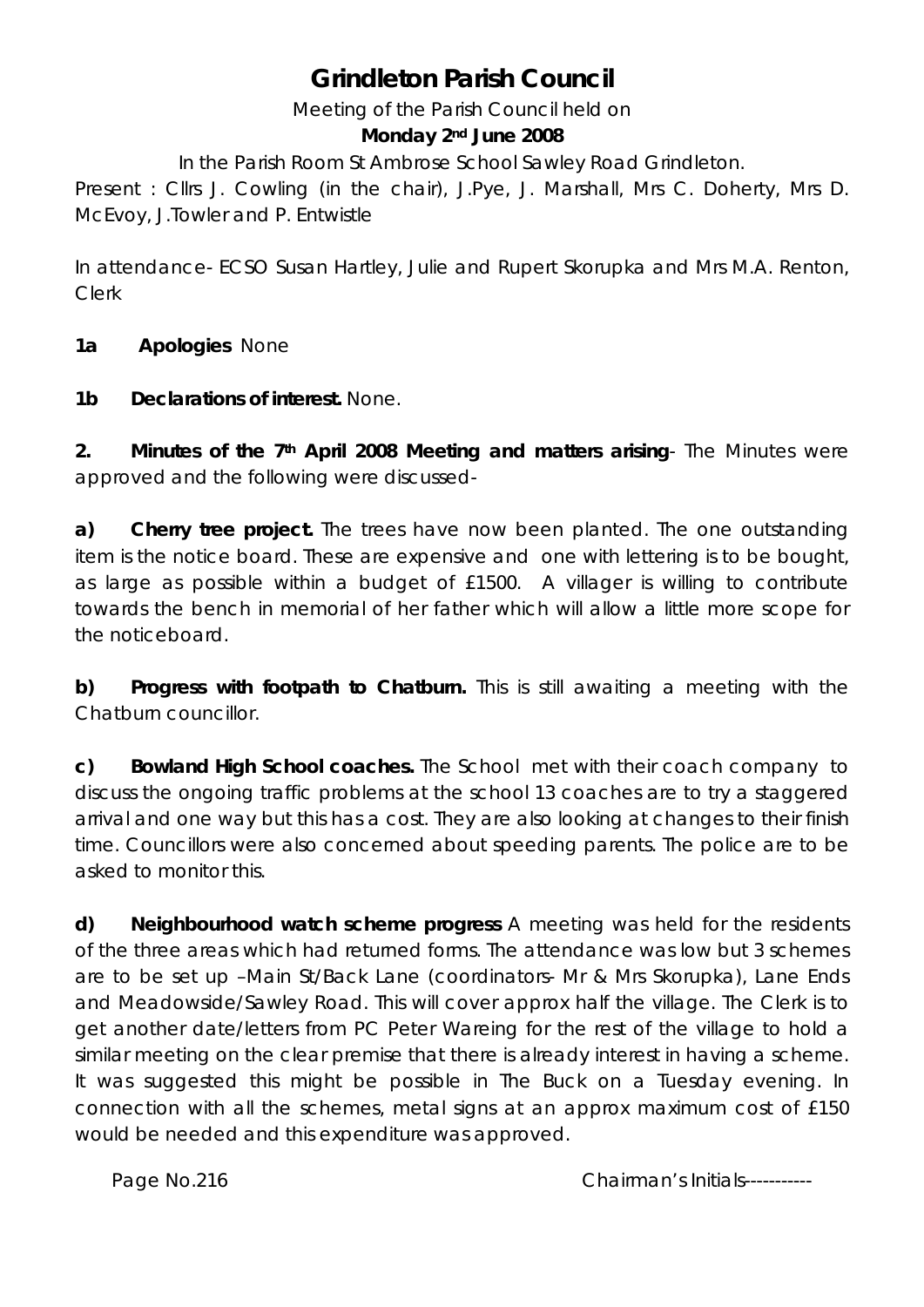# **Grindleton Parish Council**

Meeting of the Parish Council held on

#### **Monday 2nd June 2008**

In the Parish Room St Ambrose School Sawley Road Grindleton.

Present : Cllrs J. Cowling (in the chair), J.Pye, J. Marshall, Mrs C. Doherty, Mrs D. McEvoy, J.Towler and P. Entwistle

In attendance- ECSO Susan Hartley, Julie and Rupert Skorupka and Mrs M.A. Renton, Clerk

**1a Apologies** None

**1b Declarations of interest.** None.

**2. Minutes of the 7th April 2008 Meeting and matters arising**- The Minutes were approved and the following were discussed-

**a) Cherry tree project.** The trees have now been planted. The one outstanding item is the notice board. These are expensive and one with lettering is to be bought, as large as possible within a budget of £1500. A villager is willing to contribute towards the bench in memorial of her father which will allow a little more scope for the noticeboard.

**b) Progress with footpath to Chatburn.** This is still awaiting a meeting with the Chatburn councillor.

**c) Bowland High School coaches.** The School met with their coach company to discuss the ongoing traffic problems at the school 13 coaches are to try a staggered arrival and one way but this has a cost. They are also looking at changes to their finish time. Councillors were also concerned about speeding parents. The police are to be asked to monitor this.

**d) Neighbourhood watch scheme progress** A meeting was held for the residents of the three areas which had returned forms. The attendance was low but 3 schemes are to be set up –Main St/Back Lane (coordinators- Mr & Mrs Skorupka), Lane Ends and Meadowside/Sawley Road. This will cover approx half the village. The Clerk is to get another date/letters from PC Peter Wareing for the rest of the village to hold a similar meeting on the clear premise that there is already interest in having a scheme. It was suggested this might be possible in The Buck on a Tuesday evening. In connection with all the schemes, metal signs at an approx maximum cost of £150 would be needed and this expenditure was approved.

Page No.216 **Chairman's Initials-----------**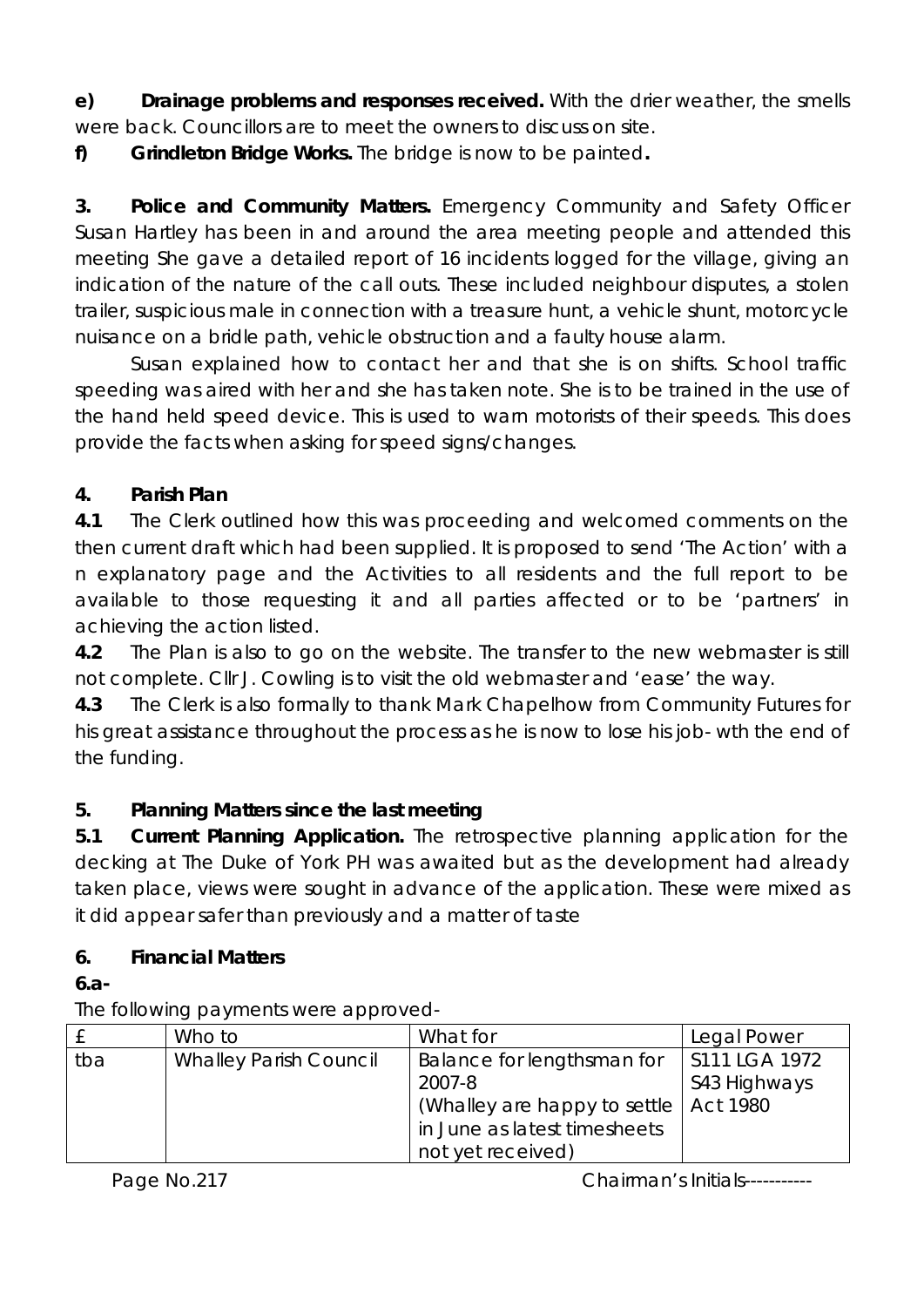**e) Drainage problems and responses received.** With the drier weather, the smells were back. Councillors are to meet the owners to discuss on site.

**f) Grindleton Bridge Works.** The bridge is now to be painted**.**

**3. Police and Community Matters.** Emergency Community and Safety Officer Susan Hartley has been in and around the area meeting people and attended this meeting She gave a detailed report of 16 incidents logged for the village, giving an indication of the nature of the call outs. These included neighbour disputes, a stolen trailer, suspicious male in connection with a treasure hunt, a vehicle shunt, motorcycle nuisance on a bridle path, vehicle obstruction and a faulty house alarm.

Susan explained how to contact her and that she is on shifts. School traffic speeding was aired with her and she has taken note. She is to be trained in the use of the hand held speed device. This is used to warn motorists of their speeds. This does provide the facts when asking for speed signs/changes.

## **4. Parish Plan**

**4.1** The Clerk outlined how this was proceeding and welcomed comments on the then current draft which had been supplied. It is proposed to send 'The Action' with a n explanatory page and the Activities to all residents and the full report to be available to those requesting it and all parties affected or to be 'partners' in achieving the action listed.

**4.2** The Plan is also to go on the website. The transfer to the new webmaster is still not complete. Cllr J. Cowling is to visit the old webmaster and 'ease' the way.

**4.3** The Clerk is also formally to thank Mark Chapelhow from Community Futures for his great assistance throughout the process as he is now to lose his job- wth the end of the funding.

## **5. Planning Matters since the last meeting**

**5.1 Current Planning Application.** The retrospective planning application for the decking at The Duke of York PH was awaited but as the development had already taken place, views were sought in advance of the application. These were mixed as it did appear safer than previously and a matter of taste

#### **6. Financial Matters**

#### **6.a-**

The following payments were approved-

|     | Who to                        | What for                                | Legal Power   |
|-----|-------------------------------|-----------------------------------------|---------------|
| tba | <b>Whalley Parish Council</b> | Balance for lengthsman for              | S111 LGA 1972 |
|     |                               | 2007-8                                  | S43 Highways  |
|     |                               | (Whalley are happy to settle   Act 1980 |               |
|     |                               | in June as latest timesheets            |               |
|     |                               | not yet received)                       |               |

Page No.217 **Chairman's Initials-----------**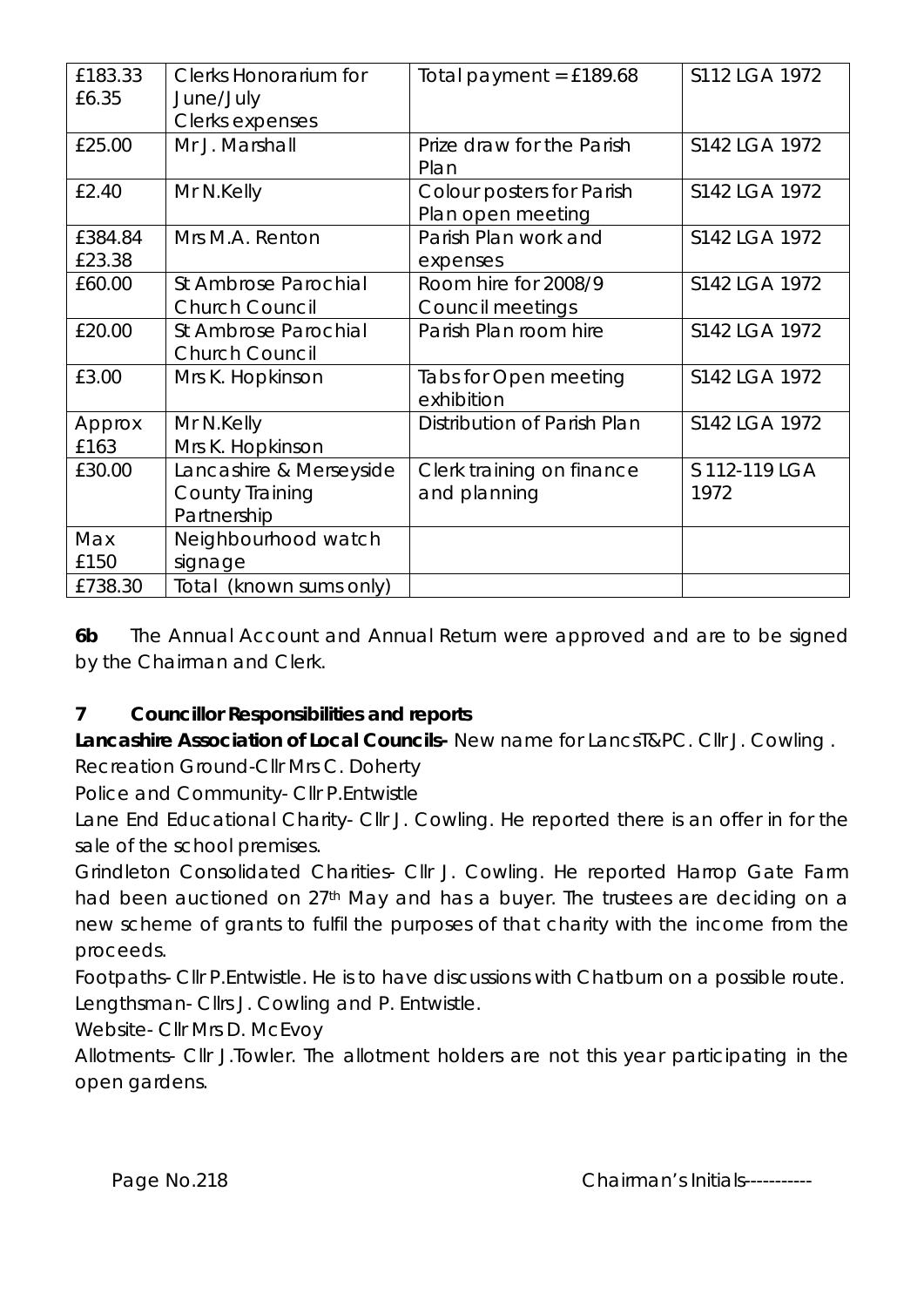| £183.33<br>£6.35  | <b>Clerks Honorarium for</b><br>June/July<br>Clerks expenses     | Total payment = $£189.68$                      | S112 LGA 1972         |
|-------------------|------------------------------------------------------------------|------------------------------------------------|-----------------------|
| £25.00            | Mr J. Marshall                                                   | Prize draw for the Parish<br>Plan              | S142 LGA 1972         |
| £2.40             | Mr N.Kelly                                                       | Colour posters for Parish<br>Plan open meeting | S142 LGA 1972         |
| £384.84<br>£23.38 | Mrs M.A. Renton                                                  | Parish Plan work and<br>expenses               | S142 LGA 1972         |
| £60.00            | <b>St Ambrose Parochial</b><br>Church Council                    | Room hire for 2008/9<br>Council meetings       | S142 LGA 1972         |
| £20.00            | St Ambrose Parochial<br><b>Church Council</b>                    | Parish Plan room hire                          | S142 LGA 1972         |
| £3.00             | Mrs K. Hopkinson                                                 | Tabs for Open meeting<br>exhibition            | S142 LGA 1972         |
| Approx<br>£163    | Mr N.Kelly<br>Mrs K. Hopkinson                                   | Distribution of Parish Plan                    | S142 LGA 1972         |
| £30.00            | Lancashire & Merseyside<br><b>County Training</b><br>Partnership | Clerk training on finance<br>and planning      | S 112-119 LGA<br>1972 |
| Max<br>£150       | Neighbourhood watch<br>signage                                   |                                                |                       |
| £738.30           | Total (known sums only)                                          |                                                |                       |

**6b** The Annual Account and Annual Return were approved and are to be signed by the Chairman and Clerk.

## **7 Councillor Responsibilities and reports**

**Lancashire Association of Local Councils-** New name for LancsT&PC. Cllr J. Cowling .

Recreation Ground-Cllr Mrs C. Doherty

Police and Community- Cllr P.Entwistle

Lane End Educational Charity- Cllr J. Cowling. He reported there is an offer in for the sale of the school premises.

Grindleton Consolidated Charities- Cllr J. Cowling. He reported Harrop Gate Farm had been auctioned on 27<sup>th</sup> May and has a buyer. The trustees are deciding on a new scheme of grants to fulfil the purposes of that charity with the income from the proceeds.

Footpaths- Cllr P.Entwistle. He is to have discussions with Chatburn on a possible route. Lengthsman- Cllrs J. Cowling and P. Entwistle.

Website- Cllr Mrs D. McEvoy

Allotments- Cllr J.Towler. The allotment holders are not this year participating in the open gardens.